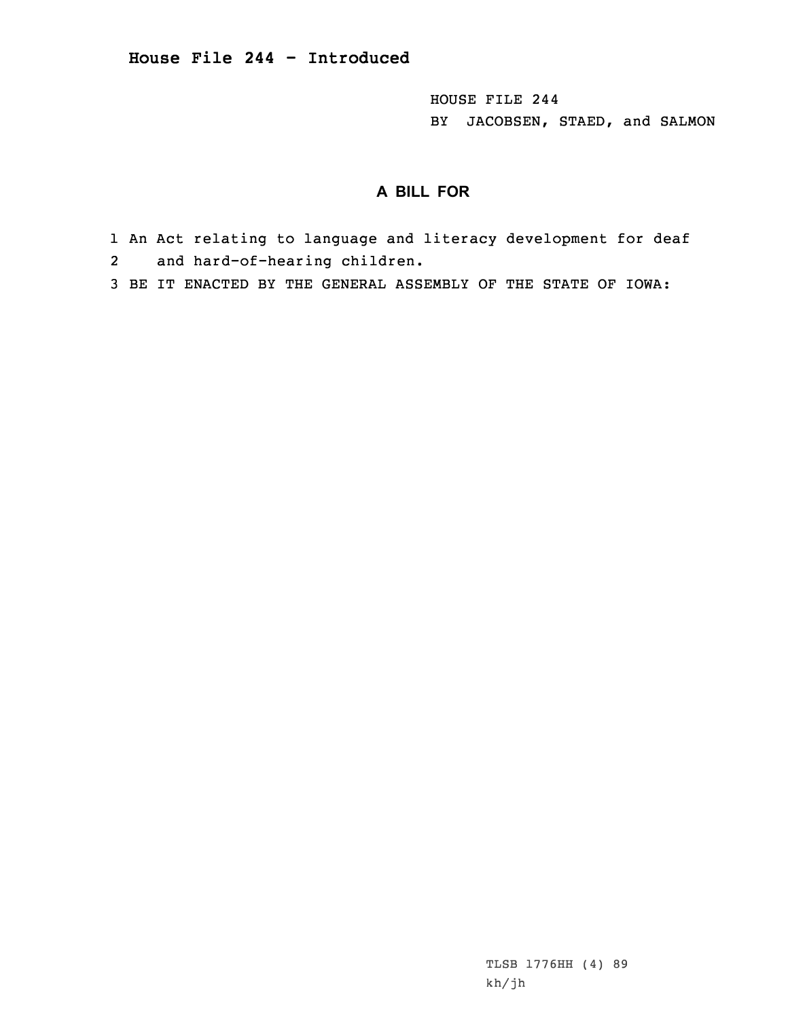HOUSE FILE 244 BY JACOBSEN, STAED, and SALMON

## **A BILL FOR**

- 1 An Act relating to language and literacy development for deaf 2and hard-of-hearing children.
- 3 BE IT ENACTED BY THE GENERAL ASSEMBLY OF THE STATE OF IOWA:

TLSB 1776HH (4) 89 kh/jh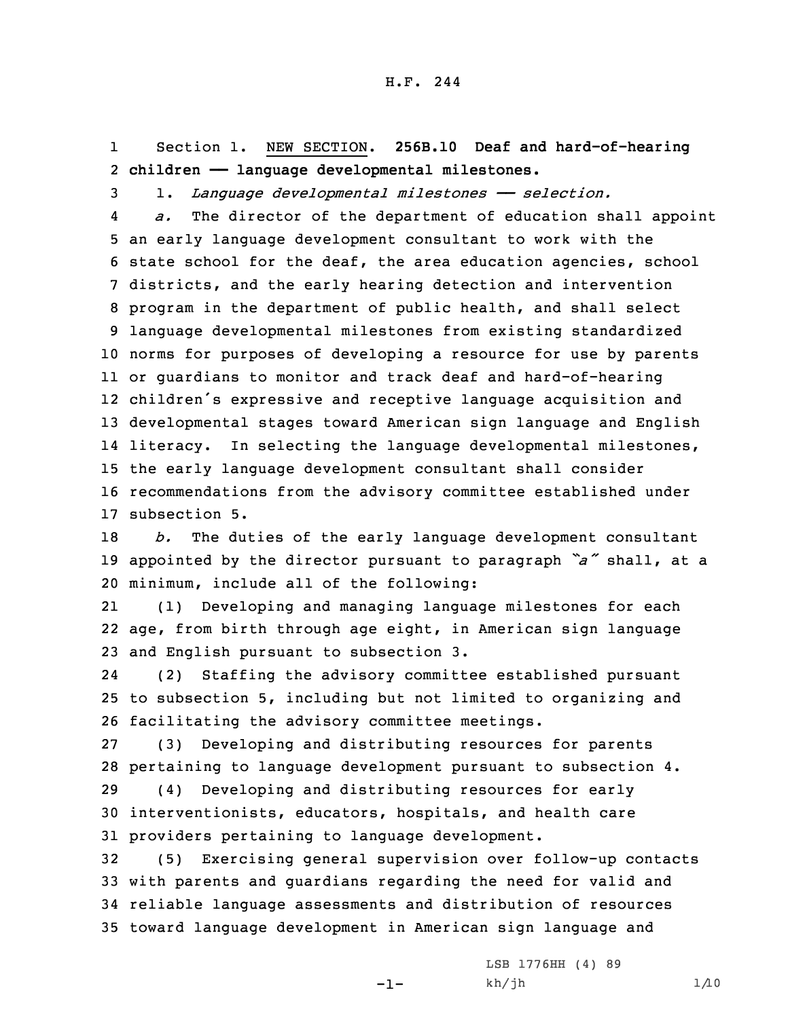1 Section 1. NEW SECTION. **256B.10 Deaf and hard-of-hearing** 2 **children —— language developmental milestones.**

3 1. *Language developmental milestones —— selection.*

4 *a.* The director of the department of education shall appoint an early language development consultant to work with the state school for the deaf, the area education agencies, school districts, and the early hearing detection and intervention program in the department of public health, and shall select language developmental milestones from existing standardized norms for purposes of developing <sup>a</sup> resource for use by parents or guardians to monitor and track deaf and hard-of-hearing children's expressive and receptive language acquisition and developmental stages toward American sign language and English literacy. In selecting the language developmental milestones, the early language development consultant shall consider recommendations from the advisory committee established under subsection 5.

18 *b.* The duties of the early language development consultant <sup>19</sup> appointed by the director pursuant to paragraph *"a"* shall, at <sup>a</sup> 20 minimum, include all of the following:

21 (1) Developing and managing language milestones for each 22 age, from birth through age eight, in American sign language 23 and English pursuant to subsection 3.

24 (2) Staffing the advisory committee established pursuant 25 to subsection 5, including but not limited to organizing and 26 facilitating the advisory committee meetings.

27 (3) Developing and distributing resources for parents 28 pertaining to language development pursuant to subsection 4.

29 (4) Developing and distributing resources for early 30 interventionists, educators, hospitals, and health care 31 providers pertaining to language development.

 (5) Exercising general supervision over follow-up contacts with parents and guardians regarding the need for valid and reliable language assessments and distribution of resources toward language development in American sign language and

-1-

LSB 1776HH (4) 89 kh/jh 1/10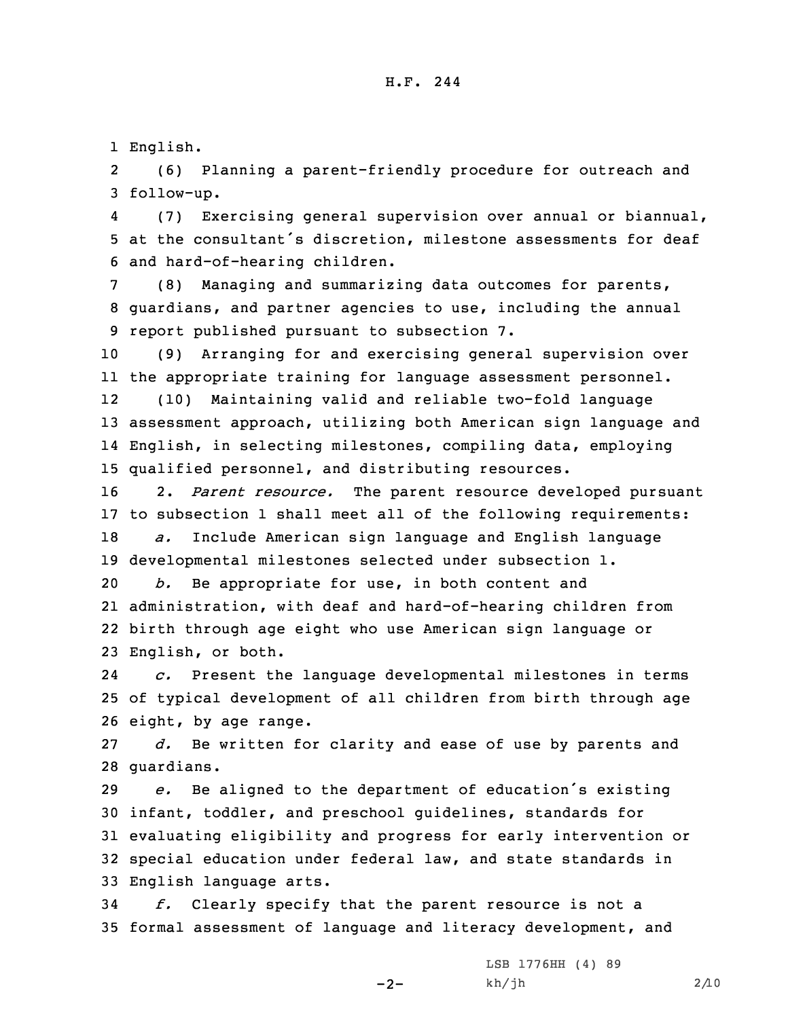1 English.

2 (6) Planning <sup>a</sup> parent-friendly procedure for outreach and 3 follow-up.

4 (7) Exercising general supervision over annual or biannual, 5 at the consultant's discretion, milestone assessments for deaf 6 and hard-of-hearing children.

7 (8) Managing and summarizing data outcomes for parents, 8 guardians, and partner agencies to use, including the annual 9 report published pursuant to subsection 7.

 (9) Arranging for and exercising general supervision over the appropriate training for language assessment personnel. 12 (10) Maintaining valid and reliable two-fold language assessment approach, utilizing both American sign language and English, in selecting milestones, compiling data, employing qualified personnel, and distributing resources.

 2. *Parent resource.* The parent resource developed pursuant to subsection 1 shall meet all of the following requirements: *a.* Include American sign language and English language developmental milestones selected under subsection 1.

 *b.* Be appropriate for use, in both content and administration, with deaf and hard-of-hearing children from birth through age eight who use American sign language or English, or both.

24 *c.* Present the language developmental milestones in terms 25 of typical development of all children from birth through age 26 eight, by age range.

27 *d.* Be written for clarity and ease of use by parents and 28 guardians.

 *e.* Be aligned to the department of education's existing infant, toddler, and preschool guidelines, standards for evaluating eligibility and progress for early intervention or special education under federal law, and state standards in English language arts.

34 *f.* Clearly specify that the parent resource is not <sup>a</sup> 35 formal assessment of language and literacy development, and

 $-2-$ 

LSB 1776HH (4) 89 kh/jh 2/10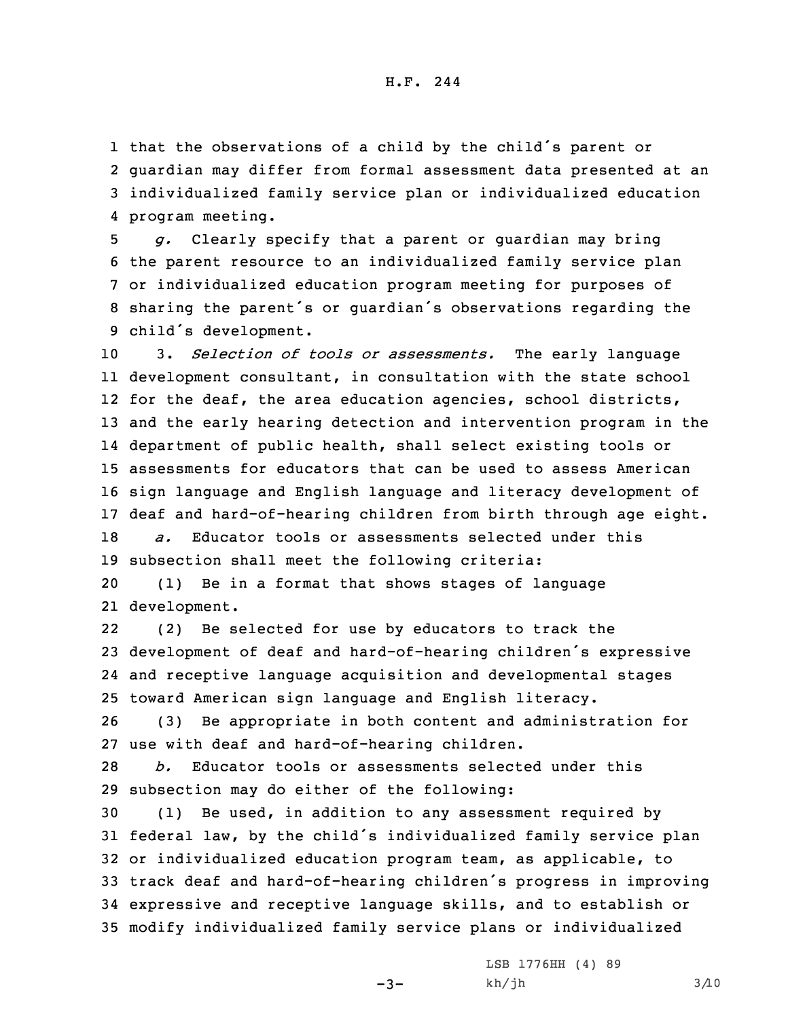that the observations of <sup>a</sup> child by the child's parent or guardian may differ from formal assessment data presented at an individualized family service plan or individualized education program meeting.

 *g.* Clearly specify that <sup>a</sup> parent or guardian may bring the parent resource to an individualized family service plan or individualized education program meeting for purposes of sharing the parent's or guardian's observations regarding the child's development.

 3. *Selection of tools or assessments.* The early language development consultant, in consultation with the state school for the deaf, the area education agencies, school districts, and the early hearing detection and intervention program in the department of public health, shall select existing tools or assessments for educators that can be used to assess American sign language and English language and literacy development of deaf and hard-of-hearing children from birth through age eight. *a.* Educator tools or assessments selected under this

19 subsection shall meet the following criteria:

20 (1) Be in <sup>a</sup> format that shows stages of language 21 development.

22 (2) Be selected for use by educators to track the <sup>23</sup> development of deaf and hard-of-hearing children's expressive 24 and receptive language acquisition and developmental stages 25 toward American sign language and English literacy.

26 (3) Be appropriate in both content and administration for 27 use with deaf and hard-of-hearing children.

28 *b.* Educator tools or assessments selected under this 29 subsection may do either of the following:

 (1) Be used, in addition to any assessment required by federal law, by the child's individualized family service plan or individualized education program team, as applicable, to track deaf and hard-of-hearing children's progress in improving expressive and receptive language skills, and to establish or modify individualized family service plans or individualized

 $-3-$ 

LSB 1776HH (4) 89  $kh/jh$  3/10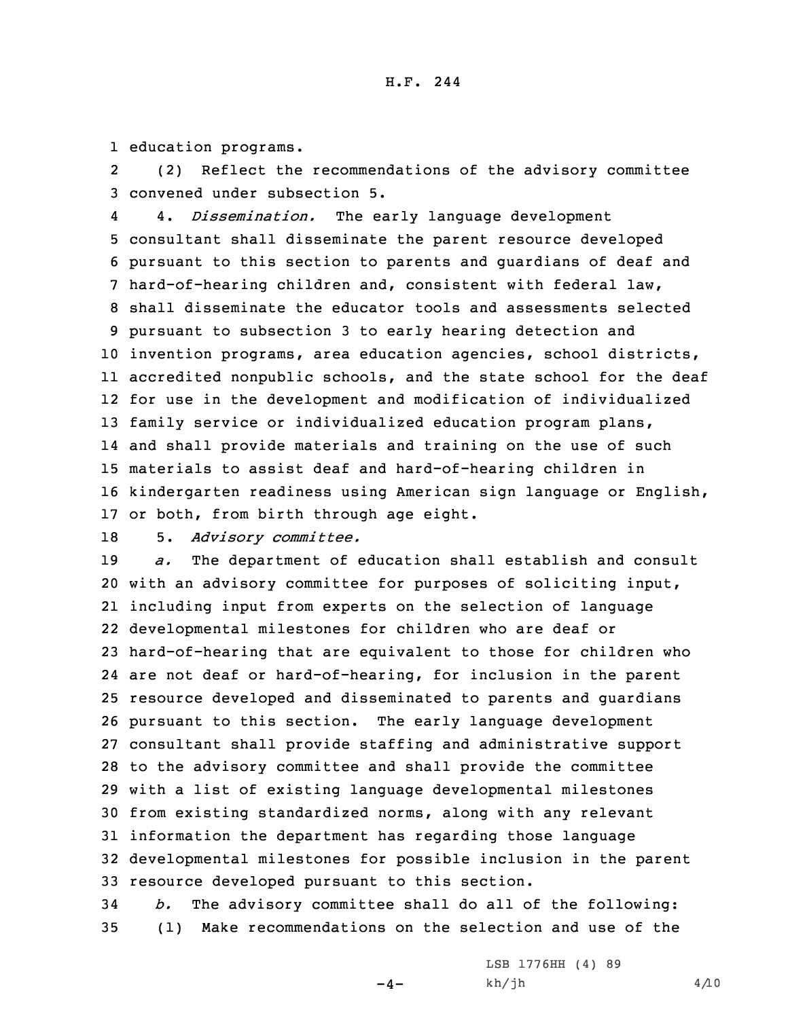1 education programs.

2 (2) Reflect the recommendations of the advisory committee 3 convened under subsection 5.

4 4. *Dissemination.* The early language development consultant shall disseminate the parent resource developed pursuant to this section to parents and guardians of deaf and hard-of-hearing children and, consistent with federal law, shall disseminate the educator tools and assessments selected pursuant to subsection 3 to early hearing detection and invention programs, area education agencies, school districts, accredited nonpublic schools, and the state school for the deaf for use in the development and modification of individualized family service or individualized education program plans, and shall provide materials and training on the use of such materials to assist deaf and hard-of-hearing children in kindergarten readiness using American sign language or English, or both, from birth through age eight.

18 5. *Advisory committee.*

 *a.* The department of education shall establish and consult with an advisory committee for purposes of soliciting input, including input from experts on the selection of language developmental milestones for children who are deaf or hard-of-hearing that are equivalent to those for children who are not deaf or hard-of-hearing, for inclusion in the parent resource developed and disseminated to parents and guardians pursuant to this section. The early language development consultant shall provide staffing and administrative support to the advisory committee and shall provide the committee with <sup>a</sup> list of existing language developmental milestones from existing standardized norms, along with any relevant information the department has regarding those language developmental milestones for possible inclusion in the parent resource developed pursuant to this section.

34 *b.* The advisory committee shall do all of the following: 35 (1) Make recommendations on the selection and use of the

 $-4-$ 

LSB 1776HH (4) 89  $kh/jh$  4/10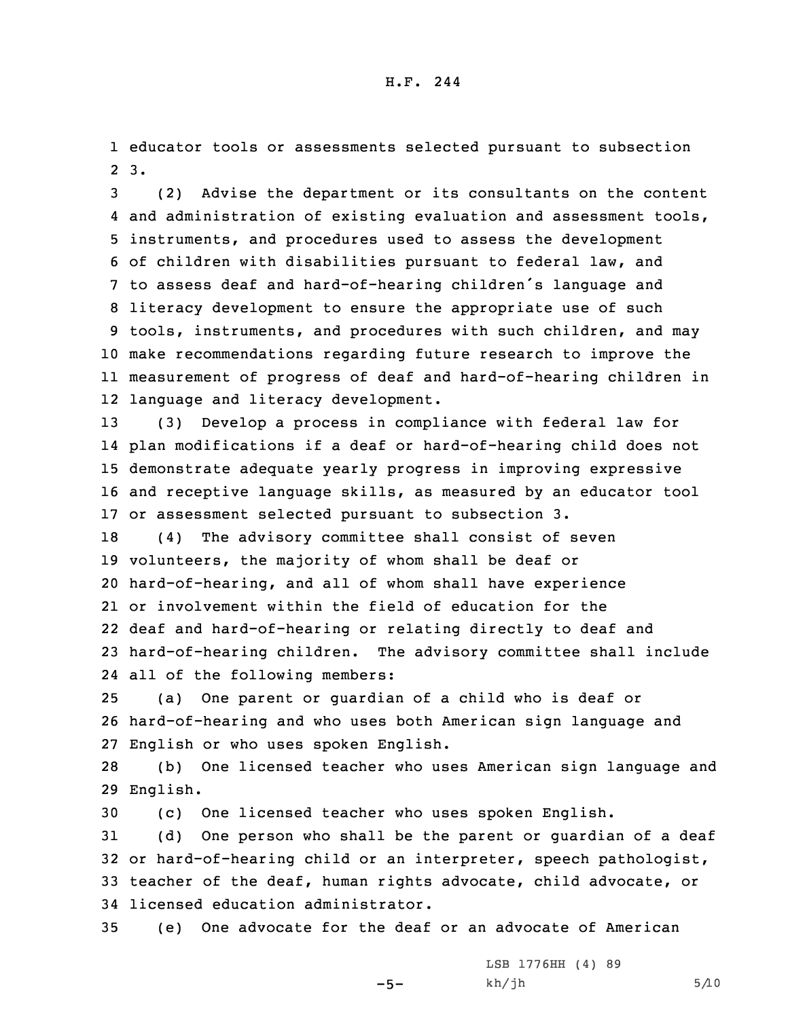1 educator tools or assessments selected pursuant to subsection 2 3.

 (2) Advise the department or its consultants on the content and administration of existing evaluation and assessment tools, instruments, and procedures used to assess the development of children with disabilities pursuant to federal law, and to assess deaf and hard-of-hearing children's language and literacy development to ensure the appropriate use of such tools, instruments, and procedures with such children, and may make recommendations regarding future research to improve the measurement of progress of deaf and hard-of-hearing children in language and literacy development.

 (3) Develop <sup>a</sup> process in compliance with federal law for plan modifications if <sup>a</sup> deaf or hard-of-hearing child does not demonstrate adequate yearly progress in improving expressive and receptive language skills, as measured by an educator tool or assessment selected pursuant to subsection 3.

 (4) The advisory committee shall consist of seven volunteers, the majority of whom shall be deaf or hard-of-hearing, and all of whom shall have experience or involvement within the field of education for the deaf and hard-of-hearing or relating directly to deaf and hard-of-hearing children. The advisory committee shall include all of the following members:

25 (a) One parent or guardian of <sup>a</sup> child who is deaf or 26 hard-of-hearing and who uses both American sign language and 27 English or who uses spoken English.

28 (b) One licensed teacher who uses American sign language and 29 English.

30 (c) One licensed teacher who uses spoken English.

 (d) One person who shall be the parent or guardian of <sup>a</sup> deaf or hard-of-hearing child or an interpreter, speech pathologist, teacher of the deaf, human rights advocate, child advocate, or licensed education administrator.

35 (e) One advocate for the deaf or an advocate of American

 $-5-$ 

LSB 1776HH (4) 89  $kh/jh$  5/10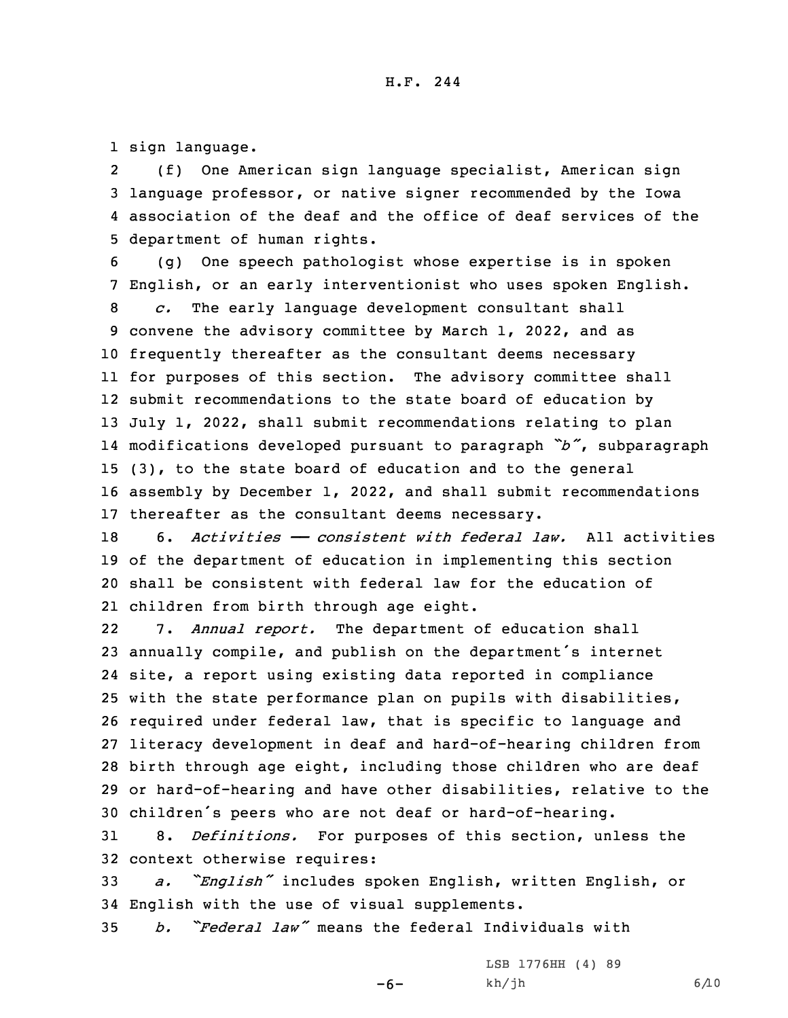1 sign language.

2 (f) One American sign language specialist, American sign 3 language professor, or native signer recommended by the Iowa 4 association of the deaf and the office of deaf services of the 5 department of human rights.

 (g) One speech pathologist whose expertise is in spoken English, or an early interventionist who uses spoken English. *c.* The early language development consultant shall convene the advisory committee by March 1, 2022, and as frequently thereafter as the consultant deems necessary for purposes of this section. The advisory committee shall submit recommendations to the state board of education by July 1, 2022, shall submit recommendations relating to plan modifications developed pursuant to paragraph *"b"*, subparagraph (3), to the state board of education and to the general assembly by December 1, 2022, and shall submit recommendations thereafter as the consultant deems necessary.

 6. *Activities —— consistent with federal law.* All activities of the department of education in implementing this section shall be consistent with federal law for the education of children from birth through age eight.

22 7. *Annual report.* The department of education shall annually compile, and publish on the department's internet site, <sup>a</sup> report using existing data reported in compliance with the state performance plan on pupils with disabilities, required under federal law, that is specific to language and literacy development in deaf and hard-of-hearing children from birth through age eight, including those children who are deaf or hard-of-hearing and have other disabilities, relative to the children's peers who are not deaf or hard-of-hearing.

31 8. *Definitions.* For purposes of this section, unless the 32 context otherwise requires:

<sup>33</sup> *a. "English"* includes spoken English, written English, or 34 English with the use of visual supplements.

 $-6-$ 

35 *b. "Federal law"* means the federal Individuals with

LSB 1776HH (4) 89  $kh/jh$  6/10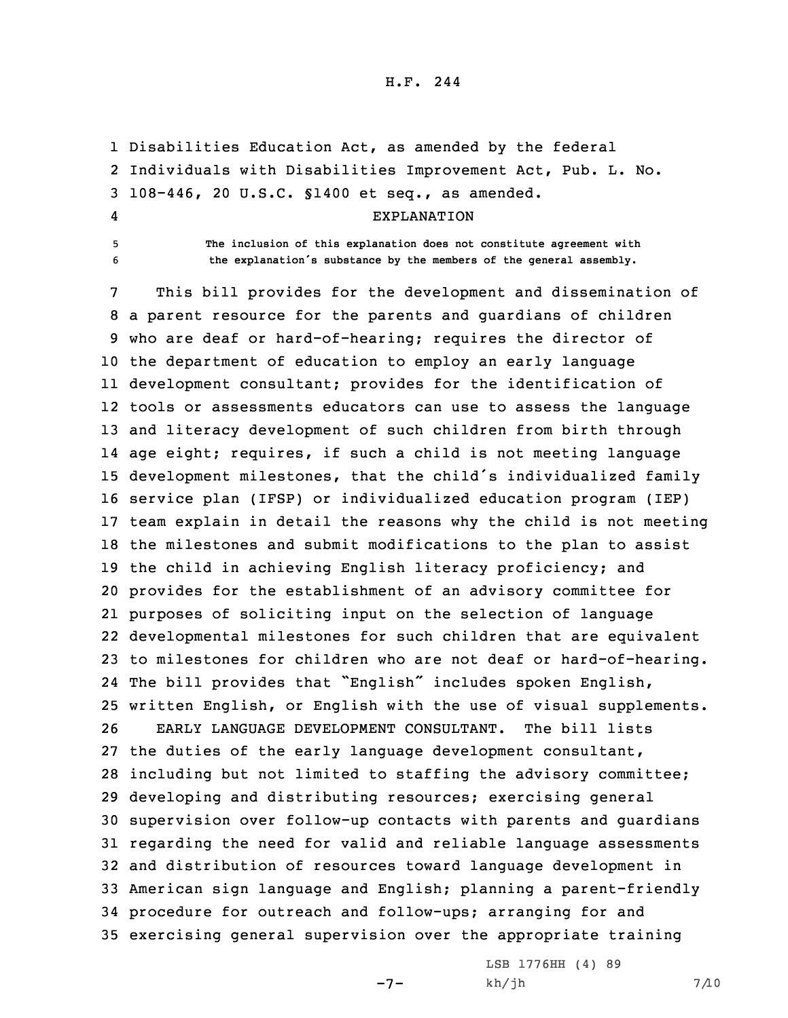## H.F. 244

 Disabilities Education Act, as amended by the federal Individuals with Disabilities Improvement Act, Pub. L. No. 108-446, 20 U.S.C. §1400 et seq., as amended. 4 EXPLANATION **The inclusion of this explanation does not constitute agreement with the explanation's substance by the members of the general assembly.**

 This bill provides for the development and dissemination of <sup>a</sup> parent resource for the parents and guardians of children who are deaf or hard-of-hearing; requires the director of the department of education to employ an early language development consultant; provides for the identification of tools or assessments educators can use to assess the language and literacy development of such children from birth through age eight; requires, if such <sup>a</sup> child is not meeting language development milestones, that the child's individualized family service plan (IFSP) or individualized education program (IEP) team explain in detail the reasons why the child is not meeting the milestones and submit modifications to the plan to assist the child in achieving English literacy proficiency; and provides for the establishment of an advisory committee for purposes of soliciting input on the selection of language developmental milestones for such children that are equivalent to milestones for children who are not deaf or hard-of-hearing. The bill provides that "English" includes spoken English, written English, or English with the use of visual supplements. EARLY LANGUAGE DEVELOPMENT CONSULTANT. The bill lists the duties of the early language development consultant, including but not limited to staffing the advisory committee; developing and distributing resources; exercising general supervision over follow-up contacts with parents and guardians regarding the need for valid and reliable language assessments and distribution of resources toward language development in American sign language and English; planning <sup>a</sup> parent-friendly procedure for outreach and follow-ups; arranging for and exercising general supervision over the appropriate training

 $-7-$ 

LSB 1776HH (4) 89  $kh/jh$  7/10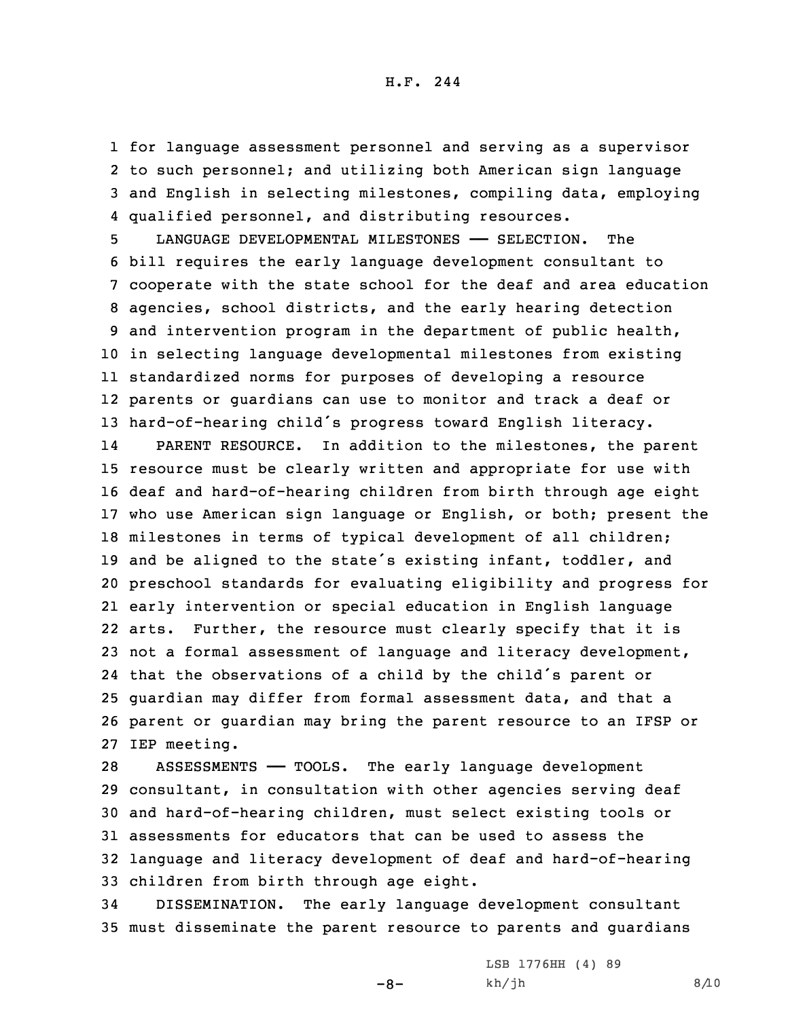for language assessment personnel and serving as <sup>a</sup> supervisor to such personnel; and utilizing both American sign language and English in selecting milestones, compiling data, employing qualified personnel, and distributing resources.

 LANGUAGE DEVELOPMENTAL MILESTONES —— SELECTION. The bill requires the early language development consultant to cooperate with the state school for the deaf and area education agencies, school districts, and the early hearing detection and intervention program in the department of public health, in selecting language developmental milestones from existing standardized norms for purposes of developing <sup>a</sup> resource parents or guardians can use to monitor and track <sup>a</sup> deaf or hard-of-hearing child's progress toward English literacy.

14 PARENT RESOURCE. In addition to the milestones, the parent resource must be clearly written and appropriate for use with deaf and hard-of-hearing children from birth through age eight who use American sign language or English, or both; present the milestones in terms of typical development of all children; 19 and be aligned to the state's existing infant, toddler, and preschool standards for evaluating eligibility and progress for early intervention or special education in English language arts. Further, the resource must clearly specify that it is not <sup>a</sup> formal assessment of language and literacy development, that the observations of <sup>a</sup> child by the child's parent or guardian may differ from formal assessment data, and that <sup>a</sup> parent or guardian may bring the parent resource to an IFSP or IEP meeting.

 ASSESSMENTS —— TOOLS. The early language development consultant, in consultation with other agencies serving deaf and hard-of-hearing children, must select existing tools or assessments for educators that can be used to assess the language and literacy development of deaf and hard-of-hearing children from birth through age eight.

34 DISSEMINATION. The early language development consultant 35 must disseminate the parent resource to parents and guardians

 $-8-$ 

LSB 1776HH (4) 89  $kh/jh$  8/10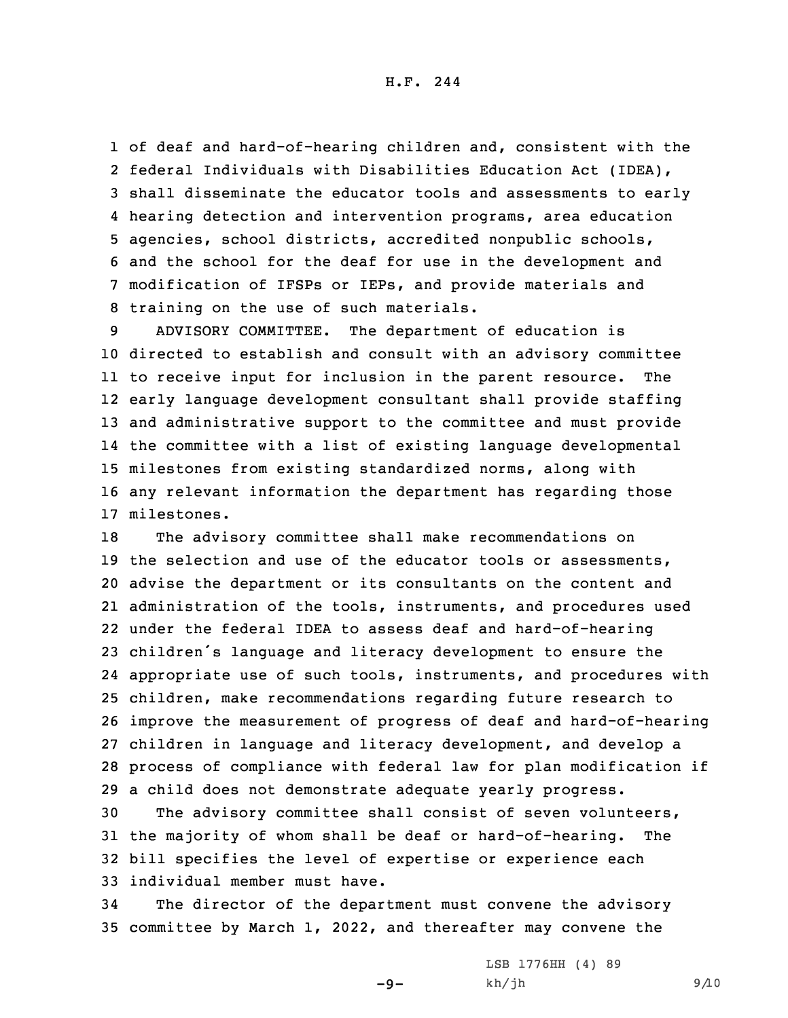H.F. 244

 of deaf and hard-of-hearing children and, consistent with the federal Individuals with Disabilities Education Act (IDEA), shall disseminate the educator tools and assessments to early hearing detection and intervention programs, area education agencies, school districts, accredited nonpublic schools, and the school for the deaf for use in the development and modification of IFSPs or IEPs, and provide materials and training on the use of such materials.

 ADVISORY COMMITTEE. The department of education is directed to establish and consult with an advisory committee to receive input for inclusion in the parent resource. The early language development consultant shall provide staffing and administrative support to the committee and must provide the committee with <sup>a</sup> list of existing language developmental milestones from existing standardized norms, along with any relevant information the department has regarding those milestones.

 The advisory committee shall make recommendations on 19 the selection and use of the educator tools or assessments, advise the department or its consultants on the content and administration of the tools, instruments, and procedures used under the federal IDEA to assess deaf and hard-of-hearing children's language and literacy development to ensure the appropriate use of such tools, instruments, and procedures with children, make recommendations regarding future research to improve the measurement of progress of deaf and hard-of-hearing children in language and literacy development, and develop <sup>a</sup> process of compliance with federal law for plan modification if <sup>a</sup> child does not demonstrate adequate yearly progress.

 The advisory committee shall consist of seven volunteers, the majority of whom shall be deaf or hard-of-hearing. The bill specifies the level of expertise or experience each individual member must have.

34 The director of the department must convene the advisory 35 committee by March 1, 2022, and thereafter may convene the

 $-9-$ 

LSB 1776HH (4) 89  $kh/jh$  9/10